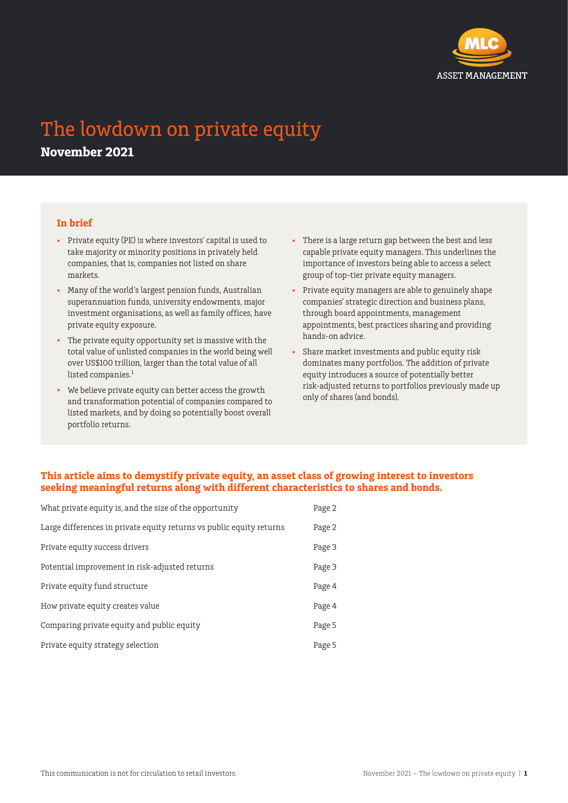

# The lowdown on private equity **November 2021**

## **In brief**

- Private equity (PE) is where investors' capital is used to take majority or minority positions in privately held companies, that is, companies not listed on share markets.
- Many of the world's largest pension funds, Australian superannuation funds, university endowments, major investment organisations, as well as family offices, have private equity exposure.
- The private equity opportunity set is massive with the total value of unlisted companies in the world being well over US\$100 trillion, larger than the total value of all listed companies.<sup>1</sup>
- We believe private equity can better access the growth and transformation potential of companies compared to listed markets, and by doing so potentially boost overall portfolio returns.
- There is a large return gap between the best and less capable private equity managers. This underlines the importance of investors being able to access a select group of top-tier private equity managers.
- Private equity managers are able to genuinely shape companies' strategic direction and business plans, through board appointments, management appointments, best practices sharing and providing hands-on advice.
- Share market investments and public equity risk dominates many portfolios. The addition of private equity introduces a source of potentially better risk-adjusted returns to portfolios previously made up only of shares (and bonds).

# **This article aims to demystify private equity, an asset class of growing interest to investors seeking meaningful returns along with different characteristics to shares and bonds.**

| What private equity is, and the size of the opportunity              | Page 2 |
|----------------------------------------------------------------------|--------|
| Large differences in private equity returns vs public equity returns | Page 2 |
| Private equity success drivers                                       | Page 3 |
| Potential improvement in risk-adjusted returns                       | Page 3 |
| Private equity fund structure                                        | Page 4 |
| How private equity creates value                                     | Page 4 |
| Comparing private equity and public equity                           | Page 5 |
| Private equity strategy selection                                    | Page 5 |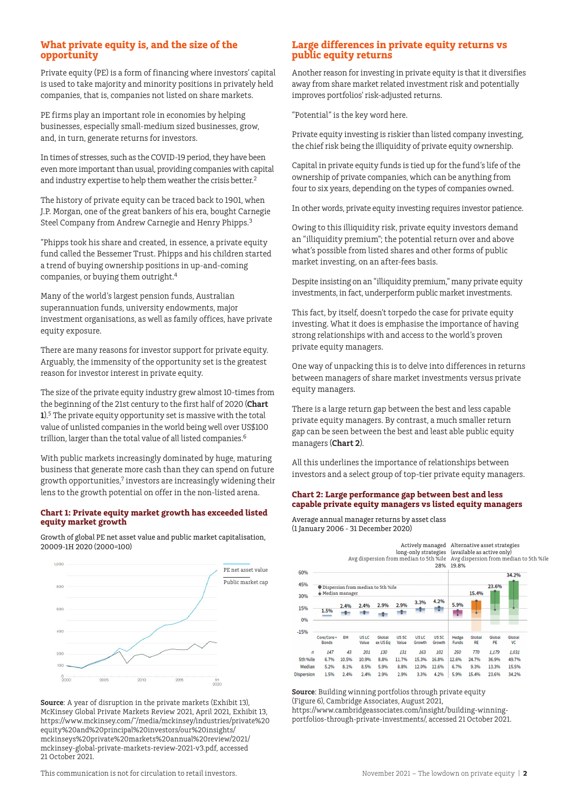## **What private equity is, and the size of the opportunity**

Private equity (PE) is a form of financing where investors' capital is used to take majority and minority positions in privately held companies, that is, companies not listed on share markets.

PE firms play an important role in economies by helping businesses, especially small-medium sized businesses, grow, and, in turn, generate returns for investors.

In times of stresses, such as the COVID-19 period, they have been even more important than usual, providing companies with capital and industry expertise to help them weather the crisis better.<sup>2</sup>

The history of private equity can be traced back to 1901, when J.P. Morgan, one of the great bankers of his era, bought Carnegie Steel Company from Andrew Carnegie and Henry Phipps.3

"Phipps took his share and created, in essence, a private equity fund called the Bessemer Trust. Phipps and his children started a trend of buying ownership positions in up-and-coming companies, or buying them outright.4

Many of the world's largest pension funds, Australian superannuation funds, university endowments, major investment organisations, as well as family offices, have private equity exposure.

There are many reasons for investor support for private equity. Arguably, the immensity of the opportunity set is the greatest reason for investor interest in private equity.

The size of the private equity industry grew almost 10-times from the beginning of the 21st century to the first half of 2020 (**Chart 1**).5 The private equity opportunity set is massive with the total value of unlisted companies in the world being well over US\$100 trillion, larger than the total value of all listed companies.<sup>6</sup>

With public markets increasingly dominated by huge, maturing business that generate more cash than they can spend on future growth opportunities,<sup>7</sup> investors are increasingly widening their lens to the growth potential on offer in the non-listed arena.

#### **Chart 1: Private equity market growth has exceeded listed equity market growth**

Growth of global PE net asset value and public market capitalisation, 20009-1H 2020 (2000=100)



**Source**: A year of disruption in the private markets (Exhibit 13), McKinsey Global Private Markets Review 2021, April 2021, Exhibit 13, https://www.mckinsey.com/~/media/mckinsey/industries/private%20 equity%20and%20principal%20investors/our%20insights/ mckinseys%20private%20markets%20annual%20review/2021/ mckinsey-global-private-markets-review-2021-v3.pdf, accessed 21 October 2021.

#### **Large differences in private equity returns vs public equity returns**

Another reason for investing in private equity is that it diversifies away from share market related investment risk and potentially improves portfolios' risk-adjusted returns.

"Potential" is the key word here.

Private equity investing is riskier than listed company investing, the chief risk being the illiquidity of private equity ownership.

Capital in private equity funds is tied up for the fund's life of the ownership of private companies, which can be anything from four to six years, depending on the types of companies owned.

In other words, private equity investing requires investor patience.

Owing to this illiquidity risk, private equity investors demand an "illiquidity premium"; the potential return over and above what's possible from listed shares and other forms of public market investing, on an after-fees basis.

Despite insisting on an "illiquidity premium," many private equity investments, in fact, underperform public market investments.

This fact, by itself, doesn't torpedo the case for private equity investing. What it does is emphasise the importance of having strong relationships with and access to the world's proven private equity managers.

One way of unpacking this is to delve into differences in returns between managers of share market investments versus private equity managers.

There is a large return gap between the best and less capable private equity managers. By contrast, a much smaller return gap can be seen between the best and least able public equity managers (**Chart 2**).

All this underlines the importance of relationships between investors and a select group of top-tier private equity managers.

#### **Chart 2: Large performance gap between best and less capable private equity managers vs listed equity managers**

Average annual manager returns by asset class (1 January 2006 - 31 December 2020)

|                   | long-only strategies<br>Avg dispersion from median to 5th %ile Avg dispersion from median to 5th %ile<br>28% |           |                           |                    |                   |                            |                       | Actively managed Alternative asset strategies<br>(available as active only)<br>19.8% |                     |              |                     |  |
|-------------------|--------------------------------------------------------------------------------------------------------------|-----------|---------------------------|--------------------|-------------------|----------------------------|-----------------------|--------------------------------------------------------------------------------------|---------------------|--------------|---------------------|--|
| 60%               |                                                                                                              |           |                           |                    |                   |                            |                       |                                                                                      |                     | 34.2%        |                     |  |
| 45%<br>30%        | Dispersion from median to 5th %ile<br>$\bullet$ Median manager                                               |           |                           |                    |                   |                            | 23.6%<br>15.4%        |                                                                                      |                     |              |                     |  |
|                   |                                                                                                              | 2.4%      | 2.4%                      | 2.9%               | 2.9%              | 3.3%                       | 4.2%                  | 5.9%                                                                                 |                     |              |                     |  |
| 15%               | 1.5%                                                                                                         |           |                           |                    |                   |                            |                       |                                                                                      |                     |              |                     |  |
| 0%                |                                                                                                              |           |                           |                    |                   |                            |                       |                                                                                      |                     |              |                     |  |
| $-15%$            |                                                                                                              |           |                           |                    |                   |                            |                       |                                                                                      |                     |              |                     |  |
|                   | Core/Core+<br><b>Bonds</b>                                                                                   | <b>EM</b> | US <sub>LC</sub><br>Value | Global<br>ex US Eq | US SC<br>Value    | US <sub>LC</sub><br>Growth | <b>USSC</b><br>Growth | Hedge<br><b>Funds</b>                                                                | Global<br><b>RE</b> | Global<br>PE | Global<br><b>VC</b> |  |
| $\mathbf{r}$      | 147                                                                                                          | 43        | 201                       | 130                | 131               | 163                        | 102                   | 250                                                                                  | 770                 | 1,179        | 1,031               |  |
| 5th %ile          | 6.7%                                                                                                         | 10.5%     | 10.9%                     | 8.8%               | 11.7%             | 15.3%                      | 16.8%                 | 12.6%                                                                                | 24.7%               | 36.9%        | 49.7%               |  |
| Median            | 5.2%                                                                                                         | 8.1%      | 8.5%                      | 5.9%               | 8.8%              | 12.0%                      | 12.6%                 | 6.7%                                                                                 | 9.3%                | 13.3%        | 15.5%               |  |
| <b>lisnersion</b> | 1.5%                                                                                                         | 2.4%      | 2.4%                      | 2.9%               | 2.90 <sub>6</sub> | 3.3%                       | 4.2%                  | 5.9%                                                                                 | 15.4%               | 23.6%        | 34.2%               |  |

**Source**: Building winning portfolios through private equity (Figure 6), Cambridge Associates, August 2021, https://www.cambridgeassociates.com/insight/building-winningportfolios-through-private-investments/, accessed 21 October 2021.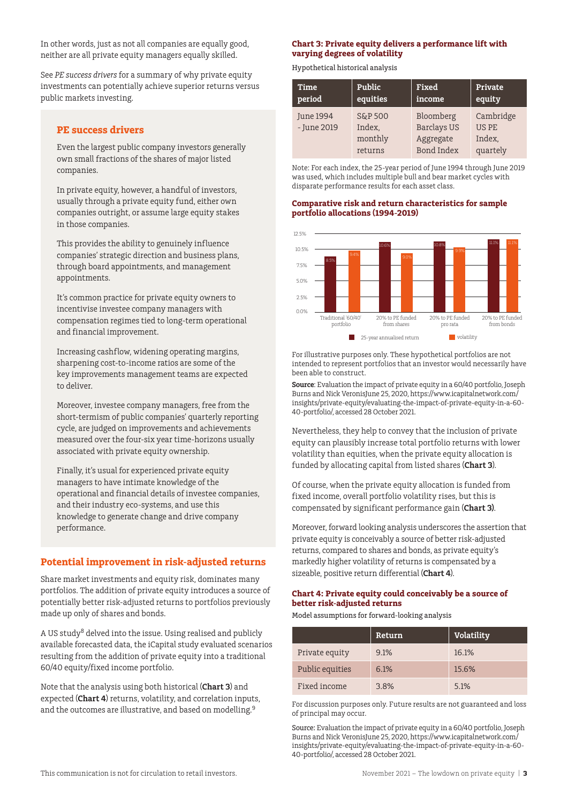In other words, just as not all companies are equally good, neither are all private equity managers equally skilled.

See *PE success drivers* for a summary of why private equity investments can potentially achieve superior returns versus public markets investing.

#### **PE success drivers**

Even the largest public company investors generally own small fractions of the shares of major listed companies.

In private equity, however, a handful of investors, usually through a private equity fund, either own companies outright, or assume large equity stakes in those companies.

This provides the ability to genuinely influence companies' strategic direction and business plans, through board appointments, and management appointments.

It's common practice for private equity owners to incentivise investee company managers with compensation regimes tied to long-term operational and financial improvement.

Increasing cashflow, widening operating margins, sharpening cost-to-income ratios are some of the key improvements management teams are expected to deliver.

Moreover, investee company managers, free from the short-termism of public companies' quarterly reporting cycle, are judged on improvements and achievements measured over the four-six year time-horizons usually associated with private equity ownership.

Finally, it's usual for experienced private equity managers to have intimate knowledge of the operational and financial details of investee companies, and their industry eco-systems, and use this knowledge to generate change and drive company performance.

## **Potential improvement in risk-adjusted returns**

Share market investments and equity risk, dominates many portfolios. The addition of private equity introduces a source of potentially better risk-adjusted returns to portfolios previously made up only of shares and bonds.

A US study8 delved into the issue. Using realised and publicly available forecasted data, the iCapital study evaluated scenarios resulting from the addition of private equity into a traditional 60/40 equity/fixed income portfolio.

Note that the analysis using both historical (**Chart 3**) and expected (**Chart 4**) returns, volatility, and correlation inputs, and the outcomes are illustrative, and based on modelling.<sup>9</sup>

#### **Chart 3: Private equity delivers a performance lift with varying degrees of volatility**

Hypothetical historical analysis

| Time                     | Public                                  | Fixed                                                      | Private                                  |
|--------------------------|-----------------------------------------|------------------------------------------------------------|------------------------------------------|
| period                   | equities                                | income                                                     | equity                                   |
| June 1994<br>- June 2019 | S&P 500<br>Index,<br>monthly<br>returns | Bloomberg<br><b>Barclays US</b><br>Aggregate<br>Bond Index | Cambridge<br>US PE<br>Index,<br>quartely |

Note: For each index, the 25-year period of June 1994 through June 2019 was used, which includes multiple bull and bear market cycles with disparate performance results for each asset class.

#### **Comparative risk and return characteristics for sample portfolio allocations (1994-2019)**



For illustrative purposes only. These hypothetical portfolios are not intended to represent portfolios that an investor would necessarily have been able to construct.  $\mu$ e lo construct.

**Source**: Evaluation the impact of private equity in a 60/40 portfolio, Joseph Burns and Nick VeronisJune 25, 2020, https://www.icapitalnetwork.com/ insights/private-equity/evaluating-the-impact-of-private-equity-in-a-60- 40-portfolio/, accessed 28 October 2021.

Nevertheless, they help to convey that the inclusion of private equity can plausibly increase total portfolio returns with lower volatility than equities, when the private equity allocation is Funded by allocating capital from listed shares **(Chart 3**).

Of course, when the private equity allocation is funded from fixed income, overall portfolio volatility rises, but this is compensated by significant performance gain (**Chart 3)**.

Moreover, forward looking analysis underscores the assertion that private equity is conceivably a source of better risk-adjusted returns, compared to shares and bonds, as private equity's markedly higher volatility of returns is compensated by a sizeable, positive return differential (**Chart 4**). Fix<br>Grix<br>Mc<br>pri<br>et<br>na

## Chart 4: Private equity could conceivably be a source of **better risk-adjusted returns**

Model assumptions for forward-looking analysis

|                 | Return | <b>Volatility</b> |
|-----------------|--------|-------------------|
| Private equity  | 9.1%   | 16.1%             |
| Public equities | 6.1%   | 15.6%             |
| Fixed income    | 3.8%   | 5.1%              |

For discussion purposes only. Future results are not guaranteed and loss of principal may occur.

Source: Evaluation the impact of private equity in a 60/40 portfolio, Joseph Burns and Nick VeronisJune 25, 2020, https://www.icapitalnetwork.com/ insights/private-equity/evaluating-the-impact-of-private-equity-in-a-60- 40-portfolio/, accessed 28 October 2021.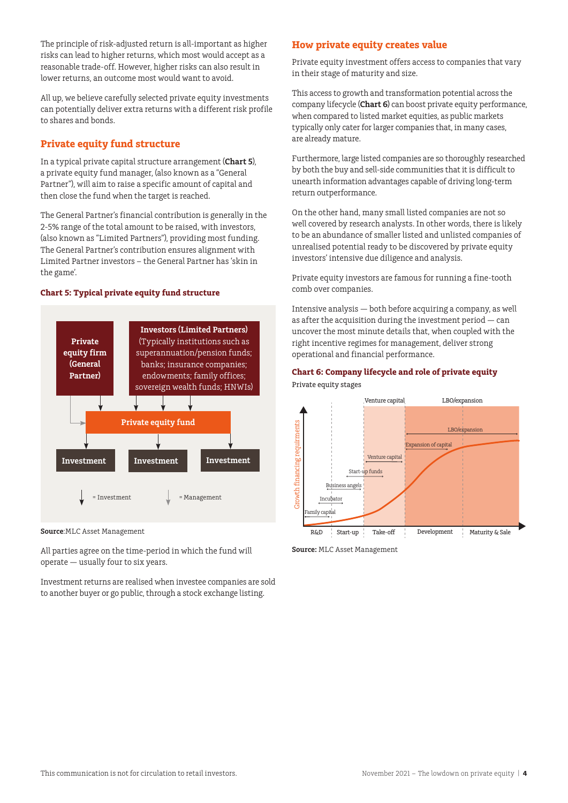The principle of risk-adjusted return is all-important as higher risks can lead to higher returns, which most would accept as a reasonable trade-off. However, higher risks can also result in lower returns, an outcome most would want to avoid.

All up, we believe carefully selected private equity investments can potentially deliver extra returns with a different risk profile to shares and bonds.

# **Private equity fund structure**

In a typical private capital structure arrangement (**Chart 5**), a private equity fund manager, (also known as a "General Partner"), will aim to raise a specific amount of capital and then close the fund when the target is reached.

The General Partner's financial contribution is generally in the 2-5% range of the total amount to be raised, with investors, (also known as "Limited Partners"), providing most funding. The General Partner's contribution ensures alignment with Limited Partner investors – the General Partner has 'skin in the game'.

#### **Chart 5: Typical private equity fund structure**



**Source**:MLC Asset Management

All parties agree on the time-period in which the fund will operate — usually four to six years.

Investment returns are realised when investee companies are sold to another buyer or go public, through a stock exchange listing.

# **How private equity creates value**

Private equity investment offers access to companies that vary in their stage of maturity and size.

This access to growth and transformation potential across the company lifecycle (**Chart 6**) can boost private equity performance, when compared to listed market equities, as public markets typically only cater for larger companies that, in many cases, are already mature.

Furthermore, large listed companies are so thoroughly researched by both the buy and sell-side communities that it is difficult to unearth information advantages capable of driving long-term return outperformance.

On the other hand, many small listed companies are not so well covered by research analysts. In other words, there is likely to be an abundance of smaller listed and unlisted companies of unrealised potential ready to be discovered by private equity investors' intensive due diligence and analysis.

Private equity investors are famous for running a fine-tooth comb over companies.

Intensive analysis — both before acquiring a company, as well as after the acquisition during the investment period — can uncover the most minute details that, when coupled with the right incentive regimes for management, deliver strong operational and financial performance.

# **Chart 6: Company lifecycle and role of private equity**



**Source:** MLC Asset Management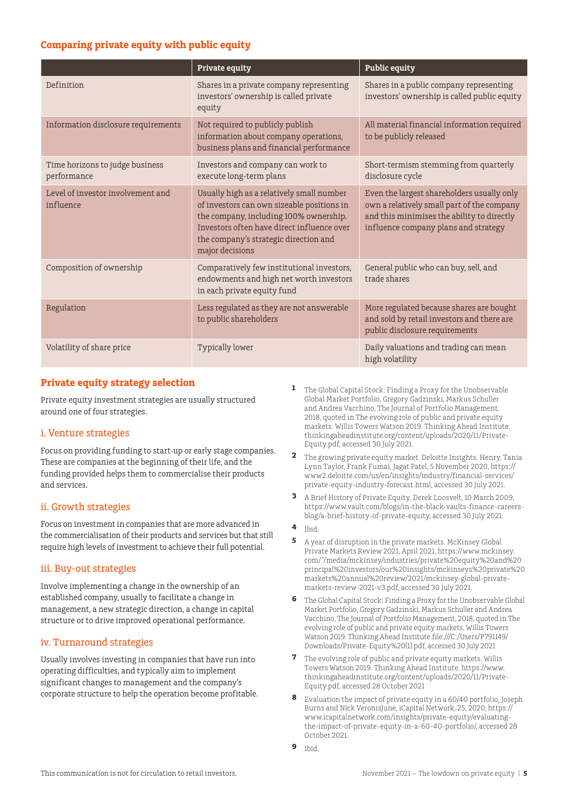# **Comparing private equity with public equity**

|                                                | <b>Private equity</b>                                                                                                                                                                                                                       | <b>Public equity</b>                                                                                                                                                           |
|------------------------------------------------|---------------------------------------------------------------------------------------------------------------------------------------------------------------------------------------------------------------------------------------------|--------------------------------------------------------------------------------------------------------------------------------------------------------------------------------|
| Definition                                     | Shares in a private company representing<br>investors' ownership is called private<br>equity                                                                                                                                                | Shares in a public company representing<br>investors' ownership is called public equity                                                                                        |
| Information disclosure requirements            | Not required to publicly publish<br>information about company operations,<br>business plans and financial performance                                                                                                                       | All material financial information required<br>to be publicly released                                                                                                         |
| Time horizons to judge business<br>performance | Investors and company can work to<br>execute long-term plans                                                                                                                                                                                | Short-termism stemming from quarterly<br>disclosure cycle                                                                                                                      |
| Level of investor involvement and<br>influence | Usually high as a relatively small number<br>of investors can own sizeable positions in<br>the company, including 100% ownership.<br>Investors often have direct influence over<br>the company's strategic direction and<br>major decisions | Even the largest shareholders usually only<br>own a relatively small part of the company<br>and this minimises the ability to directly<br>influence company plans and strategy |
| Composition of ownership                       | Comparatively few institutional investors,<br>endowments and high net worth investors<br>in each private equity fund                                                                                                                        | General public who can buy, sell, and<br>trade shares                                                                                                                          |
| Regulation                                     | Less regulated as they are not answerable<br>to public shareholders                                                                                                                                                                         | More regulated because shares are bought<br>and sold by retail investors and there are<br>public disclosure requirements                                                       |
| Volatility of share price                      | Typically lower                                                                                                                                                                                                                             | Daily valuations and trading can mean<br>high volatility                                                                                                                       |

# **Private equity strategy selection**

Private equity investment strategies are usually structured around one of four strategies.

# i. Venture strategies

Focus on providing funding to start-up or early stage companies. These are companies at the beginning of their life, and the funding provided helps them to commercialise their products and services.

# ii. Growth strategies

Focus on investment in companies that are more advanced in the commercialisation of their products and services but that still require high levels of investment to achieve their full potential.

## iii. Buy-out strategies

Involve implementing a change in the ownership of an established company, usually to facilitate a change in management, a new strategic direction, a change in capital structure or to drive improved operational performance.

# iv. Turnaround strategies

Usually involves investing in companies that have run into operating difficulties, and typically aim to implement significant changes to management and the company's corporate structure to help the operation become profitable.

- **1** The Global Capital Stock: Finding a Proxy for the Unobservable Global Market Portfolio, Gregory Gadzinski, Markus Schuller and Andrea Vacchino, The Journal of Portfolio Management, 2018, quoted in The evolving role of public and private equity markets. Willis Towers Watson 2019. Thinking Ahead Institute. thinkingaheadinstitute.org/content/uploads/2020/11/Private-Equity.pdf, accessed 30 July 2021.
- **2** The growing private equity market. Deloitte Insights. Henry, Tania Lynn Taylor, Frank Fumai, Jagat Patel, 5 November 2020, https:// www2.deloitte.com/us/en/insights/industry/financial-services/ private-equity-industry-forecast.html, accessed 30 July 2021.
- **3** A Brief History of Private Equity. Derek Loosvelt, 10 March 2009, https://www.vault.com/blogs/in-the-black-vaults-finance-careersblog/a-brief-history-of-private-equity, accessed 30 July 2021.
- **4** Ibid.
- **5** A year of disruption in the private markets. McKinsey Global Private Markets Review 2021, April 2021, https://www.mckinsey. com/~/media/mckinsey/industries/private%20equity%20and%20 principal%20investors/our%20insights/mckinseys%20private%20 markets%20annual%20review/2021/mckinsey-global-privatemarkets-review-2021-v3.pdf, accessed 30 July 2021.
- **6** The Global Capital Stock: Finding a Proxy for the Unobservable Global Market Portfolio, Gregory Gadzinski, Markus Schuller and Andrea Vacchino, The Journal of Portfolio Management, 2018, quoted in The evolving role of public and private equity markets. Willis Towers Watson 2019. Thinking Ahead Institute.file:///C:/Users/P791149/ Downloads/Private-Equity%20(1).pdf, accessed 30 July 2021
- **7** The evolving role of public and private equity markets. Willis Towers Watson 2019. Thinking Ahead Institute. https://www. thinkingaheadinstitute.org/content/uploads/2020/11/Private-Equity.pdf, accessed 28 October 2021
- **8** Evaluation the impact of private equity in a 60/40 portfolio, Joseph Burns and Nick VeronisJune, iCapital Network, 25, 2020, https:// www.icapitalnetwork.com/insights/private-equity/evaluatingthe-impact-of-private-equity-in-a-60-40-portfolio/, accessed 28 October 2021.
- **9** Ibid.